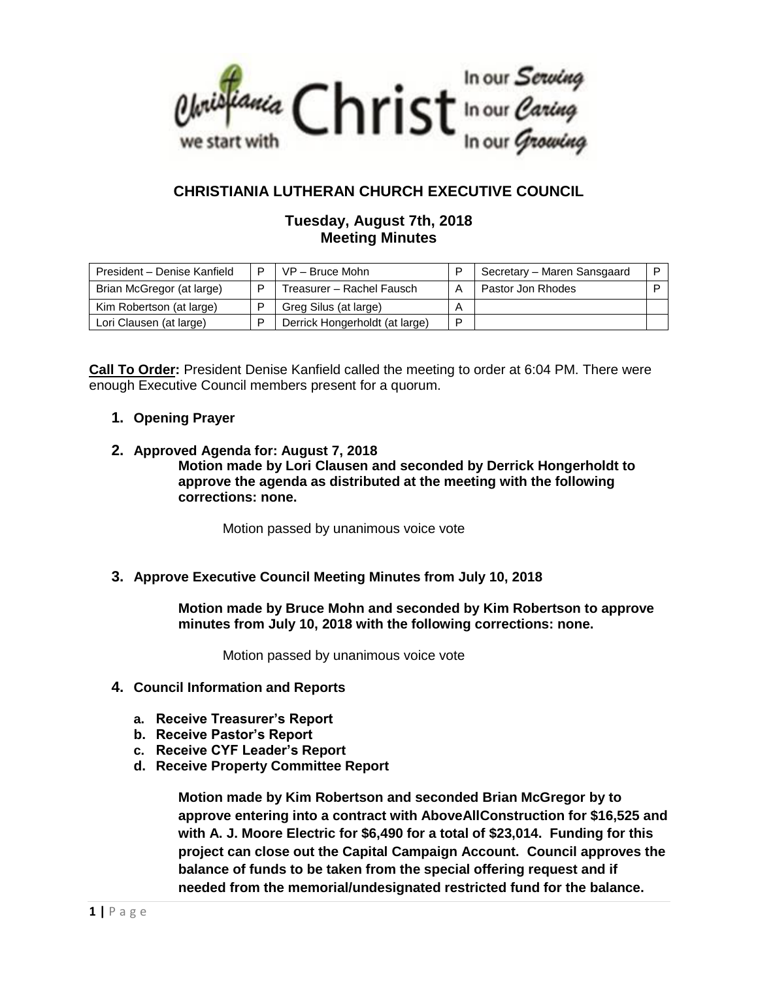

# **CHRISTIANIA LUTHERAN CHURCH EXECUTIVE COUNCIL**

## **Tuesday, August 7th, 2018 Meeting Minutes**

| President - Denise Kanfield | D | $VP - Bruce Mohn$              |   | Secretary - Maren Sansgaard |  |
|-----------------------------|---|--------------------------------|---|-----------------------------|--|
| Brian McGregor (at large)   | D | Treasurer - Rachel Fausch      |   | Pastor Jon Rhodes           |  |
| Kim Robertson (at large)    |   | Greg Silus (at large)          | A |                             |  |
| Lori Clausen (at large)     |   | Derrick Hongerholdt (at large) | P |                             |  |

**Call To Order:** President Denise Kanfield called the meeting to order at 6:04 PM. There were enough Executive Council members present for a quorum.

- **1. Opening Prayer**
- **2. Approved Agenda for: August 7, 2018 Motion made by Lori Clausen and seconded by Derrick Hongerholdt to approve the agenda as distributed at the meeting with the following corrections: none.**

Motion passed by unanimous voice vote

## **3. Approve Executive Council Meeting Minutes from July 10, 2018**

**Motion made by Bruce Mohn and seconded by Kim Robertson to approve minutes from July 10, 2018 with the following corrections: none.**

Motion passed by unanimous voice vote

- **4. Council Information and Reports**
	- **a. Receive Treasurer's Report**
	- **b. Receive Pastor's Report**
	- **c. Receive CYF Leader's Report**
	- **d. Receive Property Committee Report**

**Motion made by Kim Robertson and seconded Brian McGregor by to approve entering into a contract with AboveAllConstruction for \$16,525 and with A. J. Moore Electric for \$6,490 for a total of \$23,014. Funding for this project can close out the Capital Campaign Account. Council approves the balance of funds to be taken from the special offering request and if needed from the memorial/undesignated restricted fund for the balance.**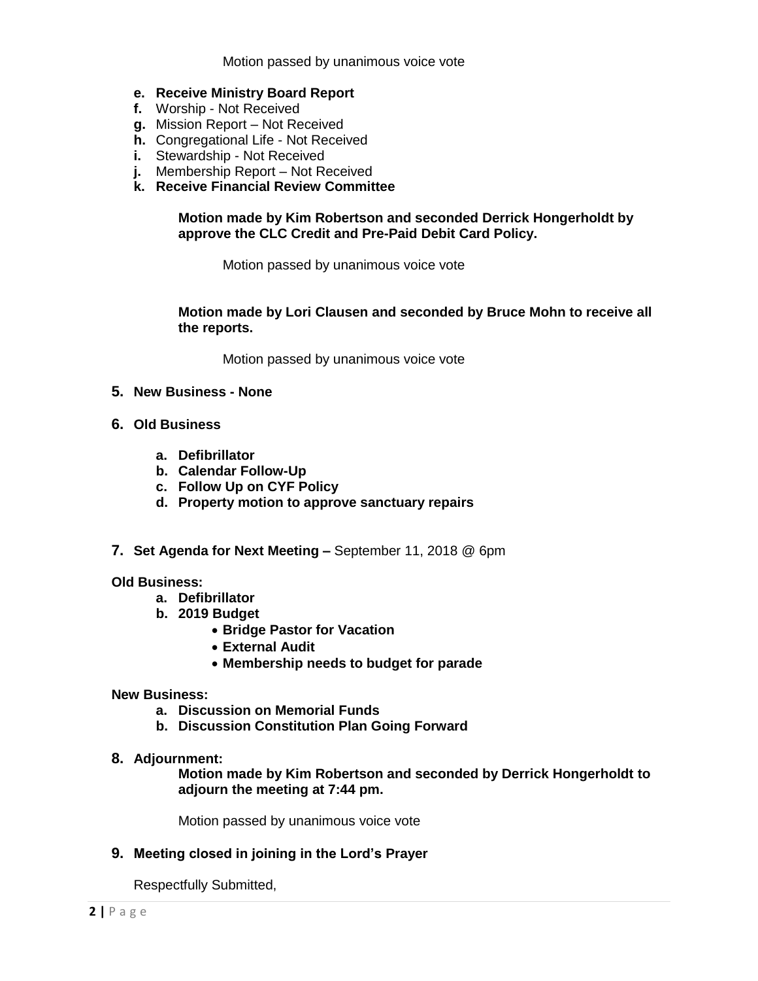#### **e. Receive Ministry Board Report**

- **f.** Worship Not Received
- **g.** Mission Report Not Received
- **h.** Congregational Life Not Received
- **i.** Stewardship Not Received
- **j.** Membership Report Not Received
- **k. Receive Financial Review Committee**

### **Motion made by Kim Robertson and seconded Derrick Hongerholdt by approve the CLC Credit and Pre-Paid Debit Card Policy.**

Motion passed by unanimous voice vote

### **Motion made by Lori Clausen and seconded by Bruce Mohn to receive all the reports.**

Motion passed by unanimous voice vote

- **5. New Business - None**
- **6. Old Business**
	- **a. Defibrillator**
	- **b. Calendar Follow-Up**
	- **c. Follow Up on CYF Policy**
	- **d. Property motion to approve sanctuary repairs**
- **7. Set Agenda for Next Meeting –** September 11, 2018 @ 6pm

#### **Old Business:**

- **a. Defibrillator**
- **b. 2019 Budget**
	- **Bridge Pastor for Vacation**
	- **External Audit**
	- **Membership needs to budget for parade**

### **New Business:**

- **a. Discussion on Memorial Funds**
- **b. Discussion Constitution Plan Going Forward**
- **8. Adjournment:**

**Motion made by Kim Robertson and seconded by Derrick Hongerholdt to adjourn the meeting at 7:44 pm.**

Motion passed by unanimous voice vote

## **9. Meeting closed in joining in the Lord's Prayer**

Respectfully Submitted,